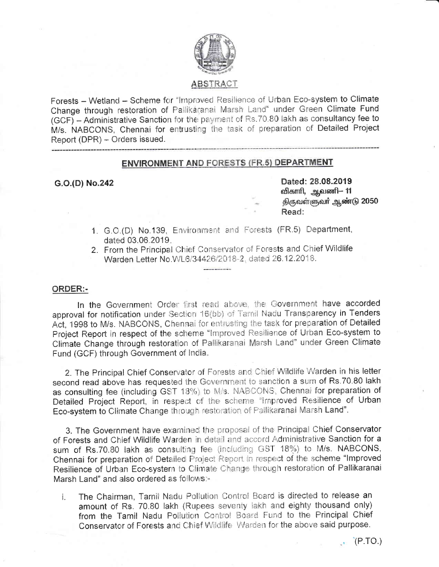

# **ABSTRACT**

Forests - Wetland - Scheme for "Improved Resilience of Urban Eco-system to Climate Change through restoration of Pallikaranai Marsh Land" under Green Climate Fund (GCF) - Administrative Sanction for the payment of Rs.70.80 lakh as consultancy fee to M/s. NABCONS, Chennai for entrusting the task of preparation of Detailed Project Report (DPR) - Orders issued.

# **ENVIRONMENT AND FORESTS (FR.5) DEPARTMENT**

### G.O.(D) No.242

Dated: 28.08.2019 விகாரி, ஆவணி— 11 திருவள்ளுவர் ஆண்டு 2050 Read:

- 1. G.O.(D) No.139. Environment and Forests (FR.5) Department, dated 03.06.2019.
- 2. From the Principal Chief Conservator of Forests and Chief Wildlife Warden Letter No.WL6/34426/2018-2, dated 26.12.2018.

# **ORDER:-**

In the Government Order first read above, the Government have accorded approval for notification under Section 16(bb) of Tamil Nadu Transparency in Tenders Act, 1998 to M/s. NABCONS, Chennal for entrusting the task for preparation of Detailed Project Report in respect of the scheme "Improved Resilience of Urban Eco-system to Climate Change through restoration of Pallikaranai Marsh Land" under Green Climate Fund (GCF) through Government of India.

2. The Principal Chief Conservator of Forests and Chief Wildlife Warden in his letter second read above has requested the Government to sanction a sum of Rs.70.80 lakh as consulting fee (including GST 18%) to M/s. NABCONS, Chennai for preparation of Detailed Project Report, in respect of the scheme "Improved Resilience of Urban Eco-system to Climate Change through restoration of Pallikaranai Marsh Land".

3. The Government have examined the proposal of the Principal Chief Conservator of Forests and Chief Wildlife Warden in detail and accord Administrative Sanction for a sum of Rs.70.80 lakh as consulting fee (including GST 18%) to M/s. NABCONS, Chennai for preparation of Detailed Project Report in respect of the scheme "Improved Resilience of Urban Eco-system to Climate Change through restoration of Pallikaranai Marsh Land" and also ordered as follows:4

The Chairman, Tamil Nadu Pollution Control Board is directed to release an  $\mathbf{i}$ . amount of Rs. 70.80 lakh (Rupees seventy lakh and eighty thousand only) from the Tamil Nadu Pollution Control Board Fund to the Principal Chief Conservator of Forests and Chief Wildlife Warden for the above said purpose.